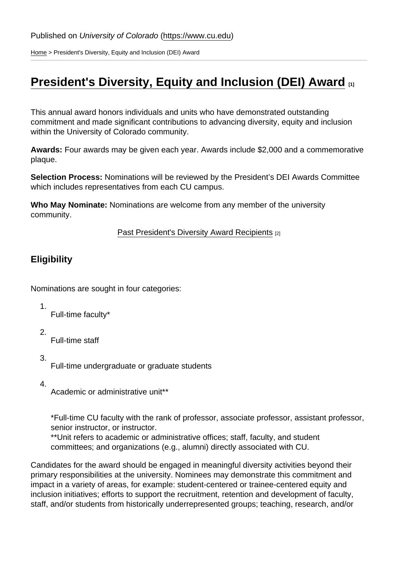[Home](https://www.cu.edu/) > President's Diversity, Equity and Inclusion (DEI) Award

# [President's Diversity, Equity and Inclusion \(DEI\) Award](https://www.cu.edu/oaa/recognitions/presidents-diversity-equity-and-inclusion-dei-award) [1]

This annual award honors individuals and units who have demonstrated outstanding commitment and made significant contributions to advancing diversity, equity and inclusion within the University of Colorado community.

Awards: Four awards may be given each year. Awards include \$2,000 and a commemorative plaque.

Selection Process: Nominations will be reviewed by the President's DEI Awards Committee which includes representatives from each CU campus.

Who May Nominate: Nominations are welcome from any member of the university community.

[Past President's Diversity Award Recipients](https://www.cu.edu/oaa/presidents-diversity-award-past-recipients) [2]

**Eligibility** 

Nominations are sought in four categories:

- 1. Full-time faculty\*
- 2.

Full-time staff

3.

Full-time undergraduate or graduate students

4.

Academic or administrative unit\*\*

\*Full-time CU faculty with the rank of professor, associate professor, assistant professor, senior instructor, or instructor.

\*\*Unit refers to academic or administrative offices; staff, faculty, and student committees; and organizations (e.g., alumni) directly associated with CU.

Candidates for the award should be engaged in meaningful diversity activities beyond their primary responsibilities at the university. Nominees may demonstrate this commitment and impact in a variety of areas, for example: student-centered or trainee-centered equity and inclusion initiatives; efforts to support the recruitment, retention and development of faculty, staff, and/or students from historically underrepresented groups; teaching, research, and/or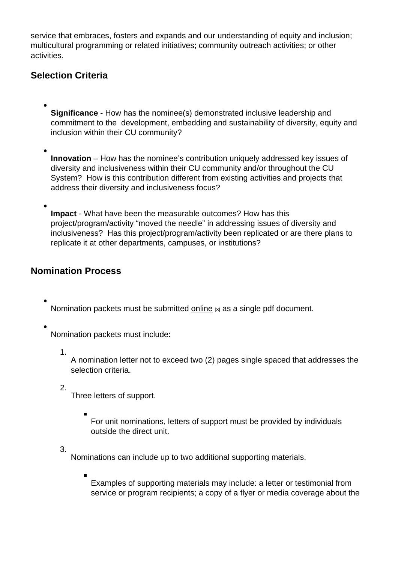service that embraces, fosters and expands and our understanding of equity and inclusion; multicultural programming or related initiatives; community outreach activities; or other activities.

## Selection Criteria

- Significance How has the nominee(s) demonstrated inclusive leadership and commitment to the development, embedding and sustainability of diversity, equity and inclusion within their CU community?
- Innovation How has the nominee's contribution uniquely addressed key issues of diversity and inclusiveness within their CU community and/or throughout the CU System? How is this contribution different from existing activities and projects that address their diversity and inclusiveness focus?
- Impact What have been the measurable outcomes? How has this project/program/activity "moved the needle" in addressing issues of diversity and inclusiveness? Has this project/program/activity been replicated or are there plans to replicate it at other departments, campuses, or institutions?

## Nomination Process

Nomination packets must be submitted [online](https://www.cu.edu/oaa/forms/president’s-diversity-equity-and-inclusion-dei-award-nomination) [3] as a single pdf document.

Nomination packets must include:

1.

A nomination letter not to exceed two (2) pages single spaced that addresses the selection criteria.

2.

Three letters of support.

For unit nominations, letters of support must be provided by individuals outside the direct unit.

3.

Nominations can include up to two additional supporting materials.

Examples of supporting materials may include: a letter or testimonial from service or program recipients; a copy of a flyer or media coverage about the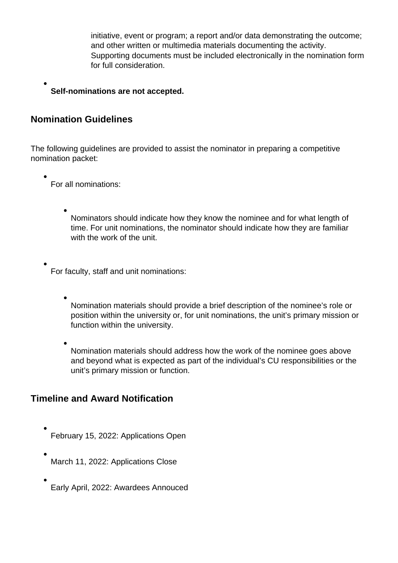initiative, event or program; a report and/or data demonstrating the outcome; and other written or multimedia materials documenting the activity. Supporting documents must be included electronically in the nomination form for full consideration.

#### **Self-nominations are not accepted.**

### **Nomination Guidelines**

The following guidelines are provided to assist the nominator in preparing a competitive nomination packet:

For all nominations:

Nominators should indicate how they know the nominee and for what length of time. For unit nominations, the nominator should indicate how they are familiar with the work of the unit.

For faculty, staff and unit nominations:

Nomination materials should provide a brief description of the nominee's role or position within the university or, for unit nominations, the unit's primary mission or function within the university.

Nomination materials should address how the work of the nominee goes above and beyond what is expected as part of the individual's CU responsibilities or the unit's primary mission or function.

## **Timeline and Award Notification**

- February 15, 2022: Applications Open
- March 11, 2022: Applications Close
- Early April, 2022: Awardees Annouced